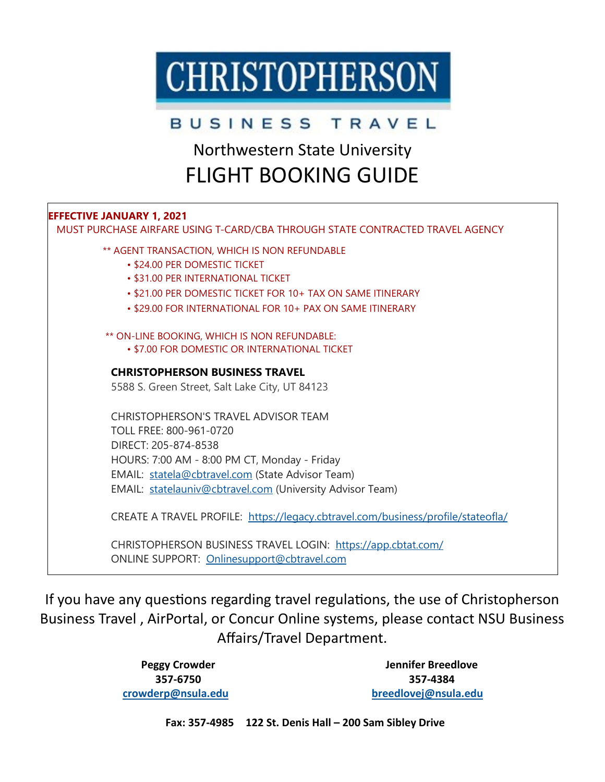# **CHRISTOPHERSON**

### BUSINESS TRAVEL

## Northwestern State University FLIGHT BOOKING GUIDE

### **EFFECTIVE JANUARY 1, 2021**

 MUST PURCHASE AIRFARE USING T-CARD/CBA THROUGH STATE CONTRACTED TRAVEL AGENCY \*\* AGENT TRANSACTION, WHICH IS NON REFUNDABLE • \$24.00 PER DOMESTIC TICKET • \$31.00 PER INTERNATIONAL TICKET • \$21.00 PER DOMESTIC TICKET FOR 10+ TAX ON SAME ITINERARY • \$29.00 FOR INTERNATIONAL FOR 10+ PAX ON SAME ITINERARY \*\* ON-LINE BOOKING, WHICH IS NON REFUNDABLE: • \$7.00 FOR DOMESTIC OR INTERNATIONAL TICKET **CHRISTOPHERSON BUSINESS TRAVEL** 5588 S. Green Street, Salt Lake City, UT 84123 CHRISTOPHERSON'S TRAVEL ADVISOR TEAM TOLL FREE: 800-961-0720 DIRECT: 205-874-8538 HOURS: 7:00 AM - 8:00 PM CT, Monday - Friday EMAIL: [statela@cbtravel.com](mailto:statela@cbtravel.com) (State Advisor Team) EMAIL: [statelauniv@cbtravel.com](mailto:statelauniv@cbtravel.com) (University Advisor Team)

CREATE A TRAVEL PROFILE: [https://legacy.cbtravel.com/business/profile/stateofla/](https://urldefense.proofpoint.com/v2/url?u=https-3A__legacy.cbtravel.com_business_profile_stateofla_&d=DwMFAg&c=xlPCXuHzMdaH2Flc1sgyicYpGQbQbU9KDEmgNF3_wI0&r=pGheIPKVG2zCpAoFqN579v8P9HsafiVHihaoIhruryk&m=A-_VCHyWHPTflWkwoTLPqwCLhHTW4yid7Dj0--vQVd8&s=rGqJBeaq2)

CHRISTOPHERSON BUSINESS TRAVEL LOGIN: <https://app.cbtat.com/> ONLINE SUPPORT: [Onlinesupport@cbtravel.com](mailto:Onlinesupport@cbtravel.com)

If you have any questions regarding travel regulations, the use of Christopherson Business Travel , AirPortal, or Concur Online systems, please contact NSU Business Affairs/Travel Department.

> **Peggy Crowder 357-6750 [crowderp@nsula.edu](mailto:crowderp@nsula.edu)**

**Jennifer Breedlove 357-4384 [breedlovej@nsula.edu](mailto:breedlovej@nsula.edu)**

**Fax: 357-4985 122 St. Denis Hall – 200 Sam Sibley Drive**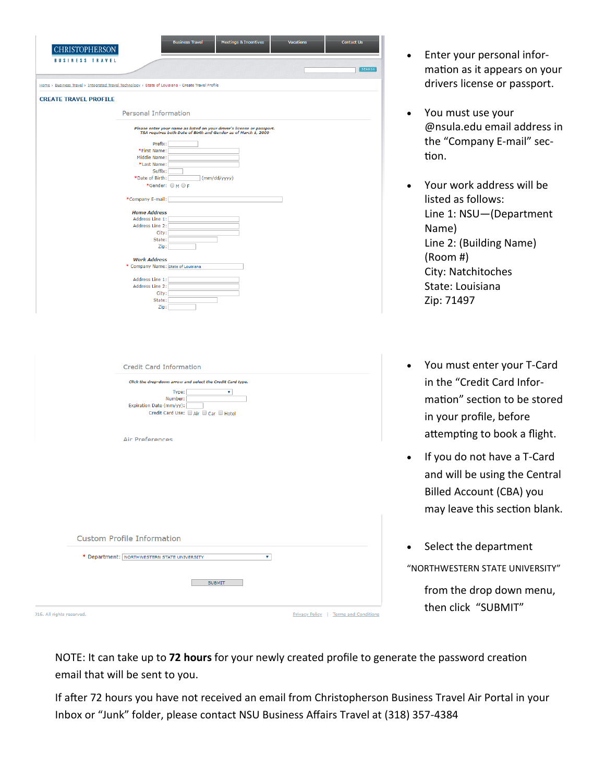| <b>CHRISTOPHERSON</b>                                                                              |                                             | <b>Meetings &amp; Incentives</b><br><b>Business Travel</b>                                                                               |                    | <b>Contact Us</b> |
|----------------------------------------------------------------------------------------------------|---------------------------------------------|------------------------------------------------------------------------------------------------------------------------------------------|--------------------|-------------------|
| <b>BUSINESS TRAVEL</b>                                                                             |                                             |                                                                                                                                          |                    | SCARON            |
| Home > Business Travel > Integrated Travel Technology > State of Louisiana - Create Travel Profile |                                             |                                                                                                                                          |                    |                   |
| <b>CREATE TRAVEL PROFILE</b>                                                                       |                                             |                                                                                                                                          |                    |                   |
|                                                                                                    |                                             |                                                                                                                                          |                    |                   |
|                                                                                                    | <b>Personal Information</b>                 |                                                                                                                                          |                    |                   |
|                                                                                                    |                                             | Please enter your name as listed on your driver's license or passport.<br>TSA requires both Date of Birth and Gender as of March 1, 2009 |                    |                   |
|                                                                                                    | Prefix:                                     |                                                                                                                                          |                    |                   |
|                                                                                                    | *First Name:<br>Middle Name:                |                                                                                                                                          |                    |                   |
|                                                                                                    | *Last Name:                                 |                                                                                                                                          |                    |                   |
|                                                                                                    | Suffix:                                     |                                                                                                                                          |                    |                   |
|                                                                                                    | *Date of Birth:                             | (mm/dd/yyyy)                                                                                                                             |                    |                   |
|                                                                                                    | *Gender: OMOF                               |                                                                                                                                          |                    |                   |
|                                                                                                    | *Company E-mail:                            |                                                                                                                                          |                    |                   |
|                                                                                                    | <b>Home Address</b>                         |                                                                                                                                          |                    |                   |
|                                                                                                    | Address Line 1:                             |                                                                                                                                          |                    |                   |
|                                                                                                    | Address Line 2:<br>City:                    |                                                                                                                                          |                    |                   |
|                                                                                                    | State:                                      |                                                                                                                                          |                    |                   |
|                                                                                                    | Zip:                                        |                                                                                                                                          |                    |                   |
|                                                                                                    | <b>Work Address</b>                         |                                                                                                                                          |                    |                   |
|                                                                                                    | * Company Name: State of Louisiana          |                                                                                                                                          |                    |                   |
|                                                                                                    | Address Line 1:                             |                                                                                                                                          |                    |                   |
|                                                                                                    | Address Line 2:                             |                                                                                                                                          |                    |                   |
|                                                                                                    | City:                                       |                                                                                                                                          |                    |                   |
|                                                                                                    | State:                                      |                                                                                                                                          |                    |                   |
|                                                                                                    | Zip:                                        |                                                                                                                                          |                    |                   |
|                                                                                                    |                                             |                                                                                                                                          |                    |                   |
|                                                                                                    | <b>Credit Card Information</b>              |                                                                                                                                          |                    |                   |
|                                                                                                    |                                             | Click the drop-down arrow and select the Credit Card type.                                                                               |                    |                   |
|                                                                                                    |                                             | Type:<br>۷                                                                                                                               |                    |                   |
|                                                                                                    |                                             | Number:                                                                                                                                  |                    |                   |
|                                                                                                    | Expiration Date (mm/yy):                    | Credit Card Use: □ Air □ Car □ Hotel                                                                                                     |                    |                   |
|                                                                                                    |                                             |                                                                                                                                          |                    |                   |
|                                                                                                    |                                             |                                                                                                                                          |                    |                   |
|                                                                                                    | <b>Air Preferences</b>                      |                                                                                                                                          |                    |                   |
|                                                                                                    |                                             |                                                                                                                                          |                    |                   |
|                                                                                                    |                                             |                                                                                                                                          |                    |                   |
|                                                                                                    |                                             |                                                                                                                                          |                    |                   |
|                                                                                                    |                                             |                                                                                                                                          |                    |                   |
|                                                                                                    |                                             |                                                                                                                                          |                    |                   |
|                                                                                                    |                                             |                                                                                                                                          |                    |                   |
|                                                                                                    |                                             |                                                                                                                                          |                    |                   |
|                                                                                                    |                                             |                                                                                                                                          |                    |                   |
|                                                                                                    | <b>Custom Profile Information</b>           |                                                                                                                                          |                    |                   |
|                                                                                                    |                                             |                                                                                                                                          |                    |                   |
|                                                                                                    | * Department: NORTHWESTERN STATE UNIVERSITY |                                                                                                                                          | $\pmb{\mathrm{v}}$ |                   |
|                                                                                                    |                                             |                                                                                                                                          |                    |                   |
|                                                                                                    |                                             | <b>SUBMIT</b>                                                                                                                            |                    |                   |

- Enter your personal information as it appears on your drivers license or passport.
- You must use your @nsula.edu email address in the "Company E-mail" section.
- Your work address will be listed as follows: Line 1: NSU—(Department Name) Line 2: (Building Name) (Room #) City: Natchitoches State: Louisiana Zip: 71497
- You must enter your T-Card in the "Credit Card Information" section to be stored in your profile, before attempting to book a flight.
- If you do not have a T-Card and will be using the Central Billed Account (CBA) you may leave this section blank.
- Select the department "NORTHWESTERN STATE UNIVERSITY" from the drop down menu, then click "SUBMIT"

NOTE: It can take up to **72 hours** for your newly created profile to generate the password creation email that will be sent to you.

If after 72 hours you have not received an email from Christopherson Business Travel Air Portal in your Inbox or "Junk" folder, please contact NSU Business Affairs Travel at (318) 357-4384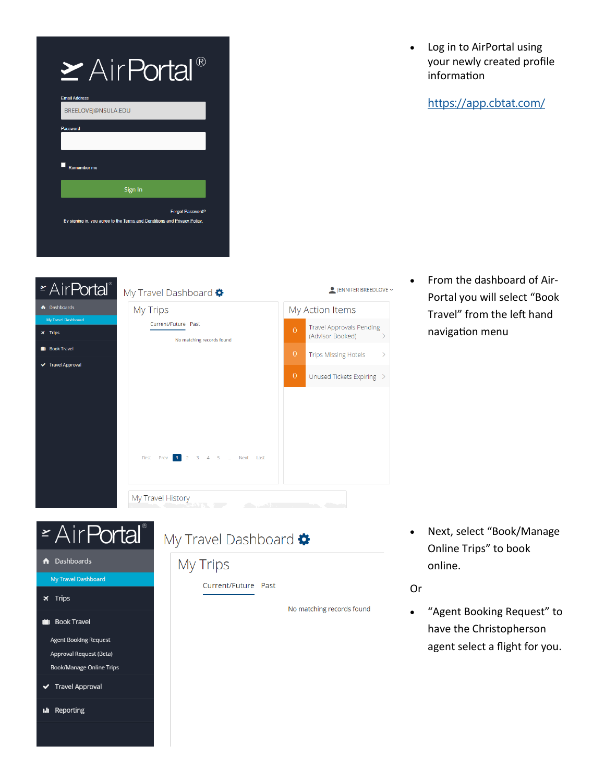| $\geq$ AirPortal'                                                                                   |
|-----------------------------------------------------------------------------------------------------|
| <b>Email Address</b>                                                                                |
| BREELOVEJ@NSULA.EDU                                                                                 |
| <b>Password</b>                                                                                     |
|                                                                                                     |
| <b>Remember me</b>                                                                                  |
| Sign In                                                                                             |
| <b>Forgot Password?</b><br>By signing in, you agree to the Terms and Conditions and Privacy Policy. |

• Log in to AirPortal using your newly created profile information

<https://app.cbtat.com/>

| My Trips |                                                  |                | My Action Items                                     |               |
|----------|--------------------------------------------------|----------------|-----------------------------------------------------|---------------|
|          | Current/Future Past<br>No matching records found | $\Omega$       | <b>Travel Approvals Pending</b><br>(Advisor Booked) |               |
|          |                                                  | $\overline{0}$ | <b>Trips Missing Hotels</b>                         | $\rightarrow$ |
|          |                                                  | $\overline{0}$ | Unused Tickets Expiring >                           |               |
|          |                                                  |                |                                                     |               |
|          |                                                  |                |                                                     |               |
|          |                                                  |                |                                                     |               |
|          | First Prev 1 2 3 4 5  Next Last                  |                |                                                     |               |
|          |                                                  |                |                                                     |               |

• From the dashboard of Air-Portal you will select "Book Travel" from the left hand navigation menu

# **ExairPortal**®

- **A** Dashboards
	- My Travel Dashboard
- $\times$  Trips

 $\bullet$  Da

 $\bullet$  Bo  $\blacktriangledown$  Tra

- **in** Book Travel
	- **Agent Booking Request** Approval Request (Beta) **Book/Manage Online Trips**
- ← Travel Approval
- **I.II** Reporting

### My Travel Dashboard

### My Trips

Current/Future Past

No matching records found

• Next, select "Book/Manage Online Trips" to book online.

### Or

• "Agent Booking Request" to have the Christopherson agent select a flight for you.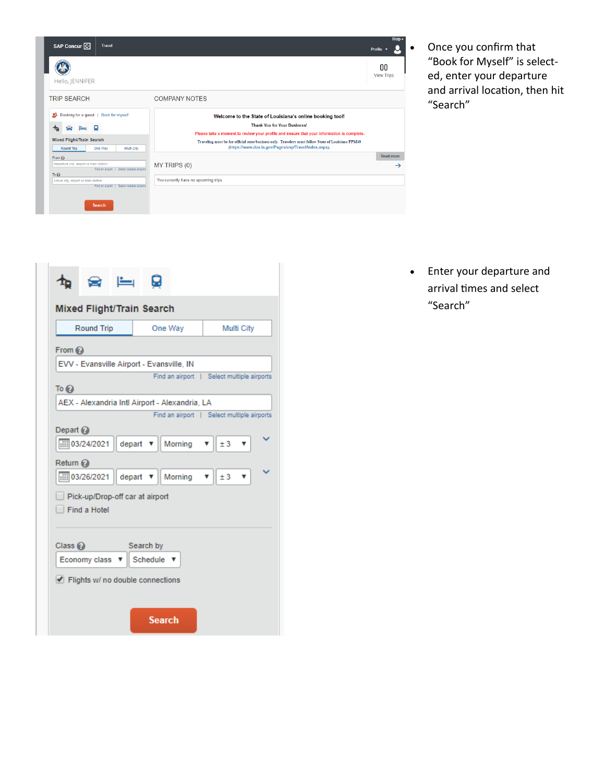| SAP Concur <sup>C</sup>                                                                                           | <b>Travel</b>                                                                            |                                                                                                                                                                                                                                                                                                                                                             | Help $\overline{\phantom{a}}$<br>Profile |
|-------------------------------------------------------------------------------------------------------------------|------------------------------------------------------------------------------------------|-------------------------------------------------------------------------------------------------------------------------------------------------------------------------------------------------------------------------------------------------------------------------------------------------------------------------------------------------------------|------------------------------------------|
| Hello, JENNIFER                                                                                                   |                                                                                          |                                                                                                                                                                                                                                                                                                                                                             | n٥<br><b>View Trips</b>                  |
| <b>TRIP SEARCH</b>                                                                                                |                                                                                          | <b>COMPANY NOTES</b>                                                                                                                                                                                                                                                                                                                                        |                                          |
| Booking for a quest   Book for myself<br>Ω<br>Ω<br><b>Mixed Flight/Train Search</b><br>Round Trip<br>One Way      | Multi City                                                                               | Welcome to the State of Louisiana's online booking tool!<br><b>Thank You for Your Business!</b><br>Please take a moment to review your profile and ensure that your information is complete.<br>Traveling must be for official state business only. Travelers must follow State of Louisiana PPM49<br>(https://www.doa.la.gov/Pages/osp/Travel/Index.aspx). |                                          |
| From $\odot$<br>Departure city, airport or train station<br>To $\Omega$<br>Arrival city, airport or train station | Find an airport   Select multiple airports<br>Find an airport   Select multiple airports | MY TRIPS (0)<br>You currently have no upcoming trips.                                                                                                                                                                                                                                                                                                       | <b>Read more</b><br>$\rightarrow$        |
| Search                                                                                                            |                                                                                          |                                                                                                                                                                                                                                                                                                                                                             |                                          |

• Once you confirm that "Book for Myself" is selected, enter your departure and arrival location, then hit "Search"

| <b>Mixed Flight/Train Search</b>    |                                           |        |                   |                                                |                                            |  |
|-------------------------------------|-------------------------------------------|--------|-------------------|------------------------------------------------|--------------------------------------------|--|
| Round Trip<br>One Way<br>Multi City |                                           |        |                   |                                                |                                            |  |
| From 2                              |                                           |        |                   |                                                |                                            |  |
|                                     | EVV - Evansville Airport - Evansville, IN |        |                   |                                                |                                            |  |
|                                     |                                           |        |                   |                                                | Find an airport   Select multiple airports |  |
| To $Q$                              |                                           |        |                   |                                                |                                            |  |
|                                     |                                           |        |                   | AEX - Alexandria Intl Airport - Alexandria, LA | Find an airport   Select multiple airports |  |
| Depart $\mathcal{O}$                |                                           |        |                   |                                                |                                            |  |
|                                     | $\frac{1}{1111}$ 03/24/2021               | depart |                   | Morning                                        | ±3                                         |  |
| Return $\mathcal{O}$                |                                           |        |                   |                                                |                                            |  |
|                                     | <b>iiii</b> 03/26/2021                    | depart |                   | Morning                                        | ±3<br>▼<br>▼                               |  |
|                                     | Pick-up/Drop-off car at airport           |        |                   |                                                |                                            |  |
|                                     | Find a Hotel                              |        |                   |                                                |                                            |  |
|                                     |                                           |        |                   |                                                |                                            |  |
| Class $Q$                           |                                           |        | Search by         |                                                |                                            |  |
|                                     | Economy class                             |        | Schedule <b>v</b> |                                                |                                            |  |
|                                     |                                           |        |                   |                                                |                                            |  |
|                                     | Flights w/ no double connections          |        |                   |                                                |                                            |  |
|                                     |                                           |        |                   |                                                |                                            |  |
|                                     |                                           |        | <b>Search</b>     |                                                |                                            |  |
|                                     |                                           |        |                   |                                                |                                            |  |

• Enter your departure and arrival times and select "Search"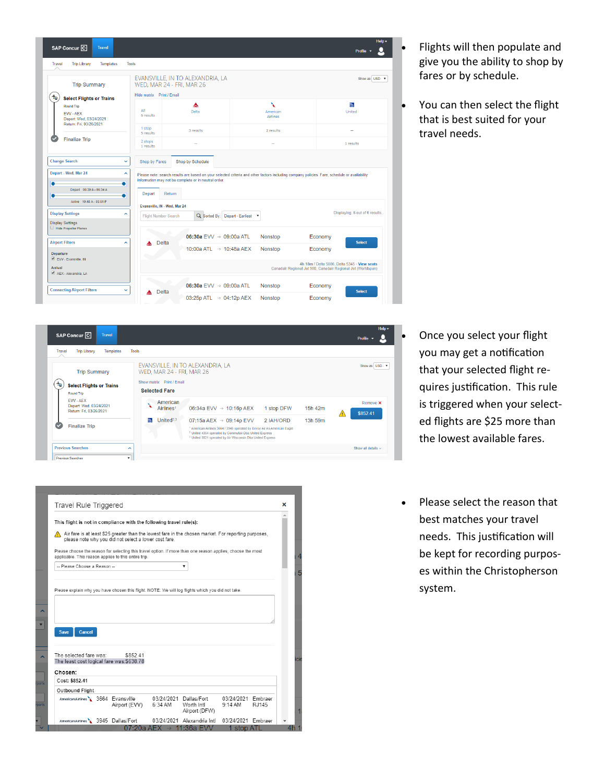

- Flights will then populate and give you the ability to shop by fares or by schedule.
- You can then select the flight that is best suited for your travel needs.

- SAP Concur<sup>C</sup> Travel o Profile  $\star$ Travel Trip Library Templates Tools EVANSVILLE, IN TO ALEXANDRIA, LA **Trip Summary** WED, MAR 24 - FRI, MAR 26 Show matrix Print / Email  $\left(\begin{matrix} 1 \\ 0 \end{matrix}\right)$  Select Flights or Trains **Selected Fare** Round Trin FW-AFX American<br>Airlines<sup>1</sup> Remove **x** Depart: Wed, 03/24/2021<br>Return: Fri, 03/26/2021 06:34a EVV  $\rightarrow$  10:16p AEX 1 stop DFW 15h 42m \$852.41  $\blacksquare$  United<sup>2,3</sup> 07:15a AEX  $\rightarrow$  09:14p EVV 2 IAH/ORD 13h 59m **Finalize Trip** <sup>1</sup> American Airlines 3664 / 3945 operated by Envoy Air As American Eagle<br><sup>2</sup> United 4354 operated by Commutair Dba United Express<br><sup>3</sup> United 3821 operated by Air Wisconsin Dba United Express **Previous Searches** Show all details **Previous Searche**
- Once you select your flight you may get a notification that your selected flight requires justification. This rule is triggered when your selected flights are \$25 more than the lowest available fares.
- Please select the reason that best matches your travel needs. This justification will be kept for recording purposes within the Christopherson system.

|                                                     | <b>Travel Rule Triggered</b>                                                                                                                                        |         |                                             |                    |         |
|-----------------------------------------------------|---------------------------------------------------------------------------------------------------------------------------------------------------------------------|---------|---------------------------------------------|--------------------|---------|
|                                                     | This flight is not in compliance with the following travel rule(s):                                                                                                 |         |                                             |                    |         |
|                                                     | Air fare is at least \$25 greater than the lowest fare in the chosen market. For reporting purposes,<br>please note why you did not select a lower cost fare.       |         |                                             |                    |         |
|                                                     | Please choose the reason for selecting this travel option. If more than one reason applies, choose the most<br>applicable. This reason applies to this entire trip. |         |                                             |                    |         |
| -- Please Choose a Reason --                        |                                                                                                                                                                     |         | ▼                                           |                    |         |
|                                                     |                                                                                                                                                                     |         |                                             |                    |         |
|                                                     |                                                                                                                                                                     |         |                                             |                    |         |
|                                                     | Please explain why you have chosen this flight. NOTE: We will log flights which you did not take.                                                                   |         |                                             |                    |         |
|                                                     |                                                                                                                                                                     |         |                                             |                    |         |
|                                                     |                                                                                                                                                                     |         |                                             |                    |         |
|                                                     |                                                                                                                                                                     |         |                                             |                    |         |
|                                                     |                                                                                                                                                                     |         |                                             |                    |         |
| Cancel<br><b>Save</b>                               |                                                                                                                                                                     |         |                                             |                    |         |
|                                                     |                                                                                                                                                                     |         |                                             |                    |         |
|                                                     |                                                                                                                                                                     |         |                                             |                    |         |
|                                                     |                                                                                                                                                                     |         |                                             |                    |         |
|                                                     | \$852.41                                                                                                                                                            |         |                                             |                    |         |
|                                                     | The least cost logical fare was: \$638.78                                                                                                                           |         |                                             |                    |         |
|                                                     |                                                                                                                                                                     |         |                                             |                    |         |
| The selected fare was:<br>Chosen:<br>Cost: \$852.41 |                                                                                                                                                                     |         |                                             |                    |         |
| <b>Outbound Flight</b>                              |                                                                                                                                                                     |         |                                             |                    |         |
|                                                     | American Airlines 3664 Evansville                                                                                                                                   |         | 03/24/2021 Dallas/Fort                      | 03/24/2021         | Embraer |
|                                                     | Airport (EVV)                                                                                                                                                       | 6:34 AM | Worth Intl                                  | $9:14$ AM          | RJ145   |
|                                                     | American Airlines \ 3945 Dallas/Fort                                                                                                                                |         | Airport (DFW)<br>03/24/2021 Alexandria Intl | 03/24/2021 Embraer |         |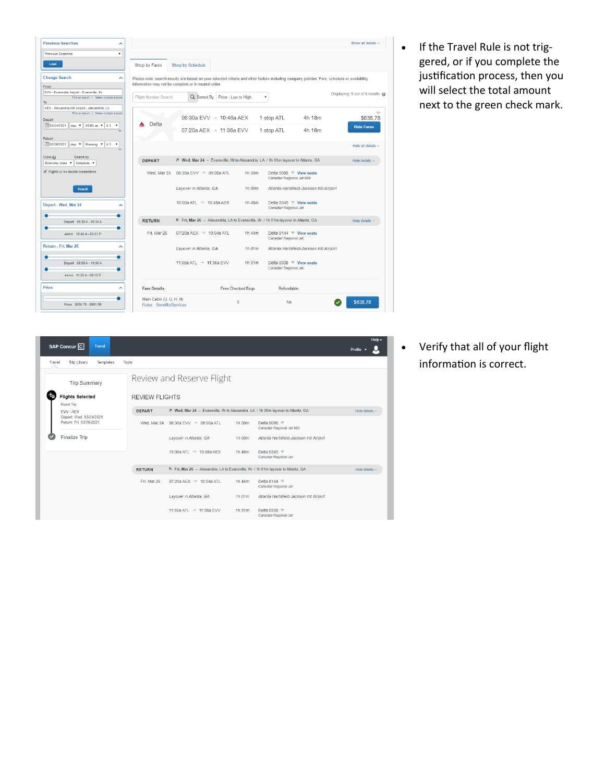| <b>Previous Searches</b><br>ㅅ                                                                          |                             |                                                                                  |                          |                                                                                                                                              | Show all details v              |
|--------------------------------------------------------------------------------------------------------|-----------------------------|----------------------------------------------------------------------------------|--------------------------|----------------------------------------------------------------------------------------------------------------------------------------------|---------------------------------|
| <b>Previous Searches</b><br>$\boldsymbol{\mathrm{v}}$                                                  |                             |                                                                                  |                          |                                                                                                                                              |                                 |
| Load                                                                                                   | Shop by Fares               | Shop by Schedule                                                                 |                          |                                                                                                                                              |                                 |
| <b>Change Search</b><br>$\hat{\phantom{a}}$                                                            |                             |                                                                                  |                          | Please note: search results are based on your selected criteria and other factors including company policies. Fare, schedule or availability |                                 |
| From                                                                                                   |                             | information may not be complete or in neutral order.                             |                          |                                                                                                                                              |                                 |
| EVV - Evansville Airport - Evansville, IN<br>Find an airport   Select multiple airports<br>To:         | <b>Flight Number Search</b> | Q Sorted By:<br>Price - Low to High                                              |                          | $\boldsymbol{\mathrm{v}}$                                                                                                                    | Displaying: 5 out of 6 results. |
| AEX - Alexandria Intl Airport - Alexandria, LA<br>Find an airport   Select multiple airports<br>Depart |                             | 06:30a EVV $\rightarrow$ 10:48a AEX                                              |                          | 1 stop ATL<br>4h 18m                                                                                                                         | \$638.78                        |
| 103/24/2021<br>08:00 an $\tau$ ± 3<br>$dep$ $\P$<br>$\mathbf{v}$                                       | <b>Delta</b>                |                                                                                  |                          |                                                                                                                                              | <b>Hide Fares</b>               |
| Return                                                                                                 |                             | 07:20a AEX $\rightarrow$ 11:36a EVV                                              |                          | 1 stop ATL<br>4h 16m                                                                                                                         |                                 |
| 103/26/2021<br>Morning <b>v</b><br>$dep$ $\Psi$<br>±3<br>۰                                             |                             |                                                                                  |                          |                                                                                                                                              | Hide all details ^              |
| Class <sub>(2)</sub><br>Search by<br>Economy class<br>Schedule V<br>$\overline{\mathbf{v}}$            | <b>DEPART</b>               | X Wed, Mar 24 - Evansville, IN to Alexandria, LA / 1h 00m layover in Atlanta, GA |                          |                                                                                                                                              | Hide details $\wedge$           |
| Flights w/ no double connections                                                                       |                             | Wed. Mar 24 $06:30a$ EVV $\rightarrow$ 09:00a ATL                                | 1h 30m                   | Delta 5086 <sup>®</sup> View seats                                                                                                           |                                 |
|                                                                                                        |                             |                                                                                  |                          | Canadair Regional Jet 900                                                                                                                    |                                 |
| <b>Search</b>                                                                                          |                             | Layover in Atlanta, GA                                                           | 1h 00m                   | Atlanta Hartsfield-Jackson Intl Airport                                                                                                      |                                 |
| Depart - Wed, Mar 24<br>ㅅ                                                                              |                             | 10:00a ATL $\rightarrow$ 10:48a AEX                                              | 1h 48m                   | Delta 5345 <sup>®</sup> View seats<br>Canadair Regional Jet                                                                                  |                                 |
| Depart 06:30 A - 06:34 A                                                                               | <b>RETURN</b>               | K Fri, Mar 26 - Alexandria, LA to Evansville, IN / 1h 01m layover in Atlanta, GA |                          |                                                                                                                                              | Hide details $\wedge$           |
| ٠<br>Arrive 10:48 A - 03:51 P                                                                          | Fri. Mar 26                 | 07:20a AEX $\rightarrow$ 10:04a ATL                                              | 1h 44m                   | Delta 5144 <sup>®</sup> View seats<br>Canadair Regional Jet                                                                                  |                                 |
| Return - Fri, Mar 26<br>$\sim$                                                                         |                             | Layover in Atlanta, GA                                                           | $1h$ $01m$               | Atlanta Hartsfield-Jackson Intl Airport                                                                                                      |                                 |
| ٠<br>Depart 06:00 A - 10:30 A<br>٠                                                                     |                             | 11:05a ATI $\rightarrow$ 11:36a EVV                                              | 1h 31m                   | Delta 5338 <sup>®</sup> View seats<br>Canadair Regional Jet                                                                                  |                                 |
| Arrive 11:36 A - 09:12 P                                                                               |                             |                                                                                  |                          |                                                                                                                                              |                                 |
| Price<br>^                                                                                             | <b>Fare Details</b>         |                                                                                  | <b>Free Checked Bags</b> | Refundable                                                                                                                                   |                                 |
|                                                                                                        | Main Cabin (U, U, H, H)     |                                                                                  |                          |                                                                                                                                              |                                 |
| Price \$638.78 - \$981.89                                                                              | Rules Benefits/Services     |                                                                                  | $\theta$                 | <b>No</b>                                                                                                                                    | \$638.78                        |

• If the Travel Rule is not triggered, or if you complete the justification process, then you will select the total amount next to the green check mark.

| SAP Concur <sup>C</sup><br><b>Travel</b>           |                       |                                                                                  |                       |                                                  | Help $\blacktriangledown$<br>Profile |
|----------------------------------------------------|-----------------------|----------------------------------------------------------------------------------|-----------------------|--------------------------------------------------|--------------------------------------|
| <b>Trip Library</b><br><b>Templates</b><br>Travel  | <b>Tools</b>          |                                                                                  |                       |                                                  |                                      |
| <b>Trip Summary</b>                                |                       | Review and Reserve Flight                                                        |                       |                                                  |                                      |
| <b>Flights Selected</b><br><b>Round Trip</b>       | <b>REVIEW FLIGHTS</b> |                                                                                  |                       |                                                  |                                      |
| FW-AFX                                             | <b>DEPART</b>         | X Wed, Mar 24 - Evansville, IN to Alexandria, LA / 1h 00m layover in Atlanta, GA | Hide details $\wedge$ |                                                  |                                      |
| Depart: Wed, 03/24/2021<br>Return: Fri. 03/26/2021 | Wed, Mar 24           | 06:30a EVV → 09:00a ATL                                                          | 1h 30m                | Delta 5086<br>Canadair Regional Jet 900          |                                      |
| <b>Finalize Trip</b>                               |                       | Layover in Atlanta, GA                                                           | 1h 00m                | Atlanta Hartsfield-Jackson Intl Airport          |                                      |
|                                                    |                       | 10:00a ATL $\rightarrow$ 10:48a AEX                                              | 1h 48m                | Delta 5345<br>Canadair Regional Jet              |                                      |
|                                                    | <b>RETURN</b>         | K Fri, Mar 26 - Alexandria, LA to Evansville, IN / 1h 01m layover in Atlanta, GA |                       |                                                  | Hide details $\wedge$                |
|                                                    | Fri. Mar 26           | 07:20a AEX $\rightarrow$ 10:04a ATL                                              | 1h 44m                | Delta 5144 <sup>®</sup><br>Canadair Regional Jet |                                      |
|                                                    |                       | Lavover in Atlanta, GA                                                           | $1h$ $01m$            | Atlanta Hartsfield-Jackson Intl Airport          |                                      |
|                                                    |                       | 11:05a ATI $\rightarrow$ 11:36a EVV                                              | 1h 31m                | Delta 5338 <sup>®</sup><br>Canadair Regional Jet |                                      |

• Verify that all of your flight information is correct.